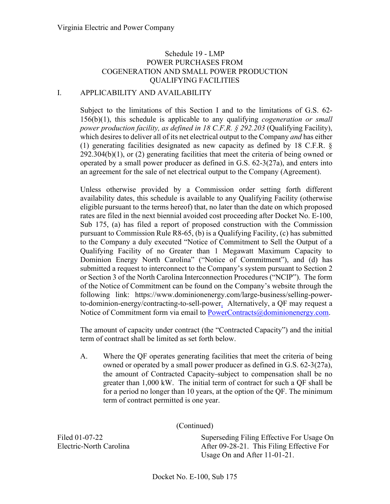## I. APPLICABILITY AND AVAILABILITY

Subject to the limitations of this Section I and to the limitations of G.S. 62- 156(b)(1), this schedule is applicable to any qualifying *cogeneration or small power production facility, as defined in 18 C.F.R. § 292.203* (Qualifying Facility), which desires to deliver all of its net electrical output to the Company *and* has either (1) generating facilities designated as new capacity as defined by 18 C.F.R. § 292.304(b)(1), or (2) generating facilities that meet the criteria of being owned or operated by a small power producer as defined in G.S. 62-3(27a), and enters into an agreement for the sale of net electrical output to the Company (Agreement).

Unless otherwise provided by a Commission order setting forth different availability dates, this schedule is available to any Qualifying Facility (otherwise eligible pursuant to the terms hereof) that, no later than the date on which proposed rates are filed in the next biennial avoided cost proceeding after Docket No. E-100, Sub 175, (a) has filed a report of proposed construction with the Commission pursuant to Commission Rule R8-65, (b) is a Qualifying Facility, (c) has submitted to the Company a duly executed "Notice of Commitment to Sell the Output of a Qualifying Facility of no Greater than 1 Megawatt Maximum Capacity to Dominion Energy North Carolina" ("Notice of Commitment"), and (d) has submitted a request to interconnect to the Company's system pursuant to Section 2 or Section 3 of the North Carolina Interconnection Procedures ("NCIP"). The form of the Notice of Commitment can be found on the Company's website through the following link: https://www.dominionenergy.com/large-business/selling-powerto-dominion-energy/contracting-to-sell-power. Alternatively, a QF may request a Notice of Commitment form via email to [PowerContracts@dominionenergy.com.](mailto:PowerContracts@dominionenergy.com)

The amount of capacity under contract (the "Contracted Capacity") and the initial term of contract shall be limited as set forth below.

A. Where the QF operates generating facilities that meet the criteria of being owned or operated by a small power producer as defined in G.S. 62-3(27a), the amount of Contracted Capacity subject to compensation shall be no greater than 1,000 kW. The initial term of contract for such a QF shall be for a period no longer than 10 years, at the option of the QF. The minimum term of contract permitted is one year.

(Continued)

Filed 01-07-22 Electric-North Carolina Superseding Filing Effective For Usage On After 09-28-21. This Filing Effective For Usage On and After 11-01-21.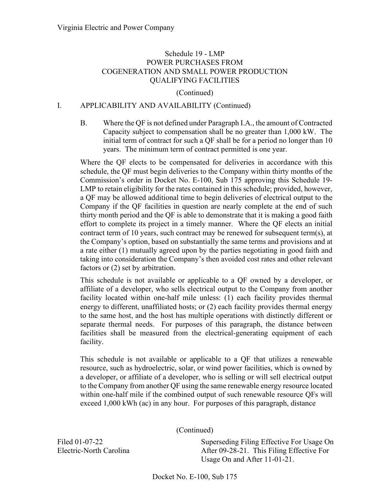#### (Continued)

## I. APPLICABILITY AND AVAILABILITY (Continued)

B. Where the QF is not defined under Paragraph I.A., the amount of Contracted Capacity subject to compensation shall be no greater than 1,000 kW. The initial term of contract for such a QF shall be for a period no longer than 10 years. The minimum term of contract permitted is one year.

Where the QF elects to be compensated for deliveries in accordance with this schedule, the QF must begin deliveries to the Company within thirty months of the Commission's order in Docket No. E-100, Sub 175 approving this Schedule 19- LMP to retain eligibility for the rates contained in this schedule; provided, however, a QF may be allowed additional time to begin deliveries of electrical output to the Company if the QF facilities in question are nearly complete at the end of such thirty month period and the QF is able to demonstrate that it is making a good faith effort to complete its project in a timely manner. Where the QF elects an initial contract term of 10 years, such contract may be renewed for subsequent term(s), at the Company's option, based on substantially the same terms and provisions and at a rate either (1) mutually agreed upon by the parties negotiating in good faith and taking into consideration the Company's then avoided cost rates and other relevant factors or (2) set by arbitration.

This schedule is not available or applicable to a QF owned by a developer, or affiliate of a developer, who sells electrical output to the Company from another facility located within one-half mile unless: (1) each facility provides thermal energy to different, unaffiliated hosts; or (2) each facility provides thermal energy to the same host, and the host has multiple operations with distinctly different or separate thermal needs. For purposes of this paragraph, the distance between facilities shall be measured from the electrical-generating equipment of each facility.

This schedule is not available or applicable to a QF that utilizes a renewable resource, such as hydroelectric, solar, or wind power facilities, which is owned by a developer, or affiliate of a developer, who is selling or will sell electrical output to the Company from another QF using the same renewable energy resource located within one-half mile if the combined output of such renewable resource QFs will exceed 1,000 kWh (ac) in any hour. For purposes of this paragraph, distance

(Continued)

Superseding Filing Effective For Usage On After 09-28-21. This Filing Effective For Usage On and After 11-01-21.

Filed 01-07-22 Electric-North Carolina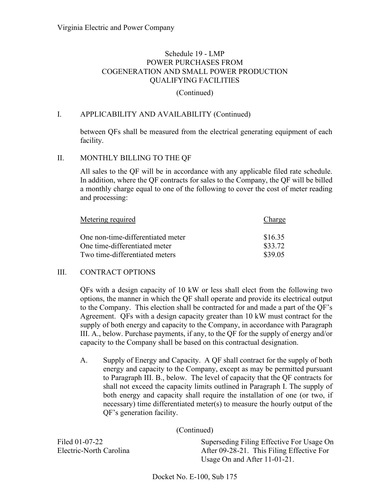#### (Continued)

## I. APPLICABILITY AND AVAILABILITY (Continued)

between QFs shall be measured from the electrical generating equipment of each facility.

### II. MONTHLY BILLING TO THE QF

All sales to the QF will be in accordance with any applicable filed rate schedule. In addition, where the QF contracts for sales to the Company, the QF will be billed a monthly charge equal to one of the following to cover the cost of meter reading and processing:

| Metering required                 | Charge  |
|-----------------------------------|---------|
| One non-time-differentiated meter | \$16.35 |
| One time-differentiated meter     | \$33.72 |
| Two time-differentiated meters    | \$39.05 |

### III. CONTRACT OPTIONS

QFs with a design capacity of 10 kW or less shall elect from the following two options, the manner in which the QF shall operate and provide its electrical output to the Company. This election shall be contracted for and made a part of the QF's Agreement. QFs with a design capacity greater than 10 kW must contract for the supply of both energy and capacity to the Company, in accordance with Paragraph III. A., below. Purchase payments, if any, to the QF for the supply of energy and/or capacity to the Company shall be based on this contractual designation.

A. Supply of Energy and Capacity. A QF shall contract for the supply of both energy and capacity to the Company, except as may be permitted pursuant to Paragraph III. B., below. The level of capacity that the QF contracts for shall not exceed the capacity limits outlined in Paragraph I. The supply of both energy and capacity shall require the installation of one (or two, if necessary) time differentiated meter(s) to measure the hourly output of the QF's generation facility.

(Continued)

Filed 01-07-22 Electric-North Carolina

Superseding Filing Effective For Usage On After 09-28-21. This Filing Effective For Usage On and After 11-01-21.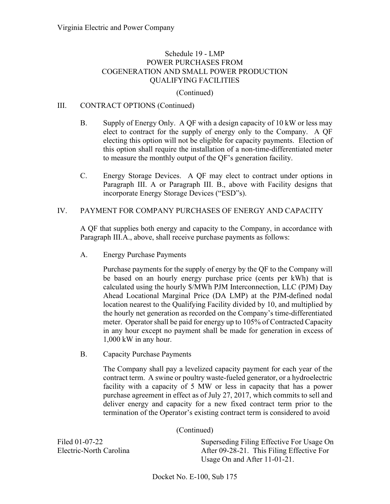### (Continued)

### III. CONTRACT OPTIONS (Continued)

- B. Supply of Energy Only. A QF with a design capacity of 10 kW or less may elect to contract for the supply of energy only to the Company. A QF electing this option will not be eligible for capacity payments. Election of this option shall require the installation of a non-time-differentiated meter to measure the monthly output of the QF's generation facility.
- C. Energy Storage Devices. A QF may elect to contract under options in Paragraph III. A or Paragraph III. B., above with Facility designs that incorporate Energy Storage Devices ("ESD"s).

#### IV. PAYMENT FOR COMPANY PURCHASES OF ENERGY AND CAPACITY

A QF that supplies both energy and capacity to the Company, in accordance with Paragraph III.A., above, shall receive purchase payments as follows:

A. Energy Purchase Payments

Purchase payments for the supply of energy by the QF to the Company will be based on an hourly energy purchase price (cents per kWh) that is calculated using the hourly \$/MWh PJM Interconnection, LLC (PJM) Day Ahead Locational Marginal Price (DA LMP) at the PJM-defined nodal location nearest to the Qualifying Facility divided by 10, and multiplied by the hourly net generation as recorded on the Company's time-differentiated meter. Operator shall be paid for energy up to 105% of Contracted Capacity in any hour except no payment shall be made for generation in excess of 1,000 kW in any hour.

B. Capacity Purchase Payments

The Company shall pay a levelized capacity payment for each year of the contract term. A swine or poultry waste-fueled generator, or a hydroelectric facility with a capacity of 5 MW or less in capacity that has a power purchase agreement in effect as of July 27, 2017, which commits to sell and deliver energy and capacity for a new fixed contract term prior to the termination of the Operator's existing contract term is considered to avoid

| (Continued) |  |
|-------------|--|
|-------------|--|

Filed 01-07-22 Electric-North Carolina

Superseding Filing Effective For Usage On After 09-28-21. This Filing Effective For Usage On and After 11-01-21.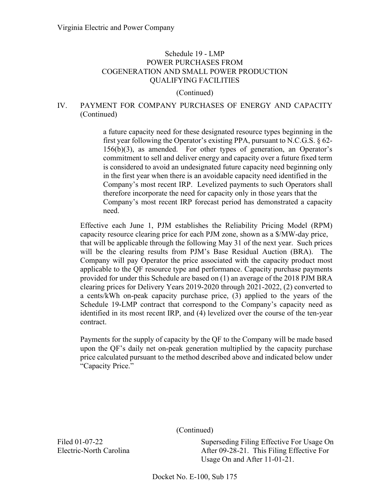(Continued)

# IV. PAYMENT FOR COMPANY PURCHASES OF ENERGY AND CAPACITY (Continued)

a future capacity need for these designated resource types beginning in the first year following the Operator's existing PPA, pursuant to N.C.G.S. § 62- 156(b)(3), as amended. For other types of generation, an Operator's commitment to sell and deliver energy and capacity over a future fixed term is considered to avoid an undesignated future capacity need beginning only in the first year when there is an avoidable capacity need identified in the Company's most recent IRP. Levelized payments to such Operators shall therefore incorporate the need for capacity only in those years that the Company's most recent IRP forecast period has demonstrated a capacity need.

Effective each June 1, PJM establishes the Reliability Pricing Model (RPM) capacity resource clearing price for each PJM zone, shown as a \$/MW-day price, that will be applicable through the following May 31 of the next year. Such prices will be the clearing results from PJM's Base Residual Auction (BRA). The Company will pay Operator the price associated with the capacity product most applicable to the QF resource type and performance. Capacity purchase payments provided for under this Schedule are based on (1) an average of the 2018 PJM BRA clearing prices for Delivery Years 2019-2020 through 2021-2022, (2) converted to a cents/kWh on-peak capacity purchase price, (3) applied to the years of the Schedule 19-LMP contract that correspond to the Company's capacity need as identified in its most recent IRP, and (4) levelized over the course of the ten-year contract.

Payments for the supply of capacity by the QF to the Company will be made based upon the QF's daily net on-peak generation multiplied by the capacity purchase price calculated pursuant to the method described above and indicated below under "Capacity Price."

(Continued)

Superseding Filing Effective For Usage On After 09-28-21. This Filing Effective For Usage On and After 11-01-21.

Filed 01-07-22 Electric-North Carolina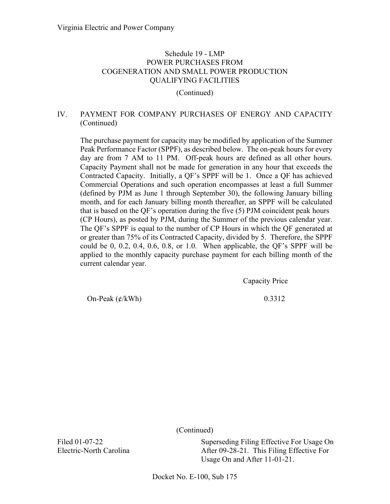(Continued)

# IV. PAYMENT FOR COMPANY PURCHASES OF ENERGY AND CAPACITY (Continued)

The purchase payment for capacity may be modified by application of the Summer Peak Performance Factor (SPPF), as described below. The on-peak hours for every day are from 7 AM to 11 PM. Off-peak hours are defined as all other hours. Capacity Payment shall not be made for generation in any hour that exceeds the Contracted Capacity. Initially, a QF's SPPF will be 1. Once a QF has achieved Commercial Operations and such operation encompasses at least a full Summer (defined by PJM as June 1 through September 30), the following January billing month, and for each January billing month thereafter, an SPPF will be calculated that is based on the QF's operation during the five (5) PJM coincident peak hours (CP Hours), as posted by PJM, during the Summer of the previous calendar year. The QF's SPPF is equal to the number of CP Hours in which the QF generated at or greater than 75% of its Contracted Capacity, divided by 5. Therefore, the SPPF could be 0, 0.2, 0.4, 0.6, 0.8, or 1.0. When applicable, the QF's SPPF will be applied to the monthly capacity purchase payment for each billing month of the current calendar year.

Capacity Price

On-Peak  $(\frac{\ell}{kWh})$  0.3312

(Continued)

Superseding Filing Effective For Usage On After 09-28-21. This Filing Effective For Usage On and After 11-01-21.

Filed 01-07-22 Electric-North Carolina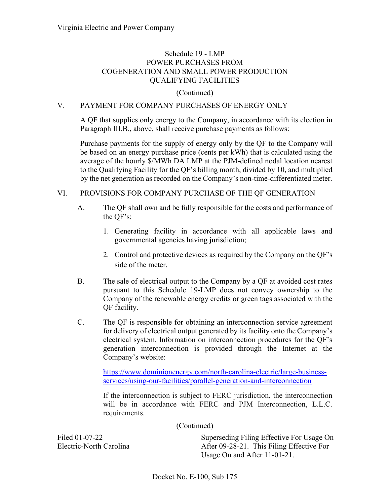## (Continued)

## V. PAYMENT FOR COMPANY PURCHASES OF ENERGY ONLY

A QF that supplies only energy to the Company, in accordance with its election in Paragraph III.B., above, shall receive purchase payments as follows:

Purchase payments for the supply of energy only by the QF to the Company will be based on an energy purchase price (cents per kWh) that is calculated using the average of the hourly \$/MWh DA LMP at the PJM-defined nodal location nearest to the Qualifying Facility for the QF's billing month, divided by 10, and multiplied by the net generation as recorded on the Company's non-time-differentiated meter.

### VI. PROVISIONS FOR COMPANY PURCHASE OF THE QF GENERATION

- A. The QF shall own and be fully responsible for the costs and performance of the QF's:
	- 1. Generating facility in accordance with all applicable laws and governmental agencies having jurisdiction;
	- 2. Control and protective devices as required by the Company on the QF's side of the meter.
- B. The sale of electrical output to the Company by a QF at avoided cost rates pursuant to this Schedule 19-LMP does not convey ownership to the Company of the renewable energy credits or green tags associated with the QF facility.
- C. The QF is responsible for obtaining an interconnection service agreement for delivery of electrical output generated by its facility onto the Company's electrical system. Information on interconnection procedures for the QF's generation interconnection is provided through the Internet at the Company's website:

[https://www.dominionenergy.com/north-carolina-electric/large-business](https://www.dominionenergy.com/north-carolina-electric/large-business-services/using-our-facilities/parallel-generation-and-interconnection)[services/using-our-facilities/parallel-generation-and-interconnection](https://www.dominionenergy.com/north-carolina-electric/large-business-services/using-our-facilities/parallel-generation-and-interconnection)

If the interconnection is subject to FERC jurisdiction, the interconnection will be in accordance with FERC and PJM Interconnection, L.L.C. requirements.

(Continued)

Filed 01-07-22 Electric-North Carolina

Superseding Filing Effective For Usage On After 09-28-21. This Filing Effective For Usage On and After 11-01-21.